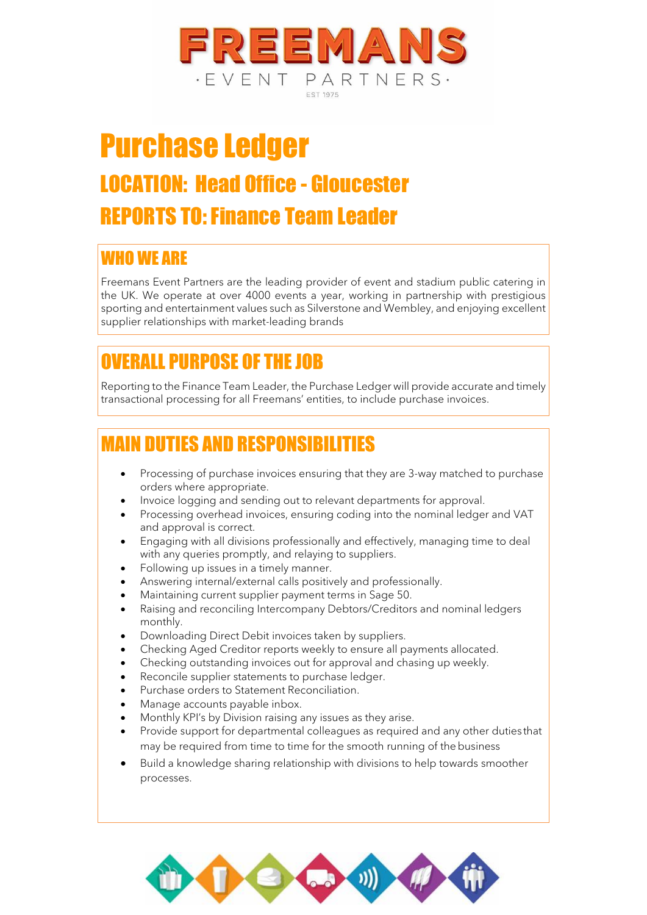

# Purchase Ledger LOCATION: Head Office - Gloucester REPORTS TO: Finance Team Leader

#### WHO WE ARE

Freemans Event Partners are the leading provider of event and stadium public catering in the UK. We operate at over 4000 events a year, working in partnership with prestigious sporting and entertainment values such as Silverstone and Wembley, and enjoying excellent supplier relationships with market-leading brands

## OVERALL PURPOSE OF THE JOB

Reporting to the Finance Team Leader, the Purchase Ledger will provide accurate and timely transactional processing for all Freemans' entities, to include purchase invoices.

### MAIN DUTIES AND RESPONSIBILITIES

- Processing of purchase invoices ensuring that they are 3-way matched to purchase orders where appropriate.
- Invoice logging and sending out to relevant departments for approval.
- Processing overhead invoices, ensuring coding into the nominal ledger and VAT and approval is correct.
- Engaging with all divisions professionally and effectively, managing time to deal with any queries promptly, and relaying to suppliers.
- Following up issues in a timely manner.
- Answering internal/external calls positively and professionally.
- Maintaining current supplier payment terms in Sage 50.
- Raising and reconciling Intercompany Debtors/Creditors and nominal ledgers monthly.
- Downloading Direct Debit invoices taken by suppliers.
- Checking Aged Creditor reports weekly to ensure all payments allocated.
- Checking outstanding invoices out for approval and chasing up weekly.
- Reconcile supplier statements to purchase ledger.
- Purchase orders to Statement Reconciliation.
- Manage accounts payable inbox.
- Monthly KPI's by Division raising any issues as they arise.
- Provide support for departmental colleagues as required and any other duties that may be required from time to time for the smooth running of the business
- Build a knowledge sharing relationship with divisions to help towards smoother processes.